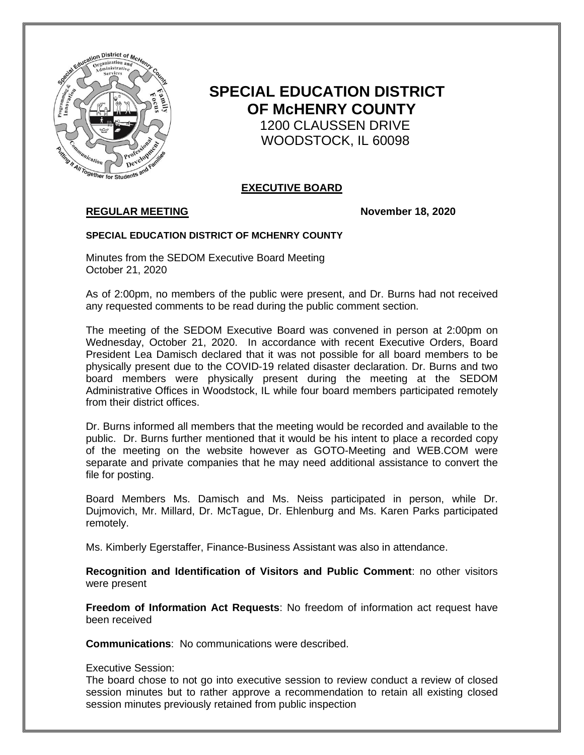

# **SPECIAL EDUCATION DISTRICT OF McHENRY COUNTY** 1200 CLAUSSEN DRIVE WOODSTOCK, IL 60098

# **EXECUTIVE BOARD**

# **REGULAR MEETING November 18, 2020**

#### **SPECIAL EDUCATION DISTRICT OF MCHENRY COUNTY**

Minutes from the SEDOM Executive Board Meeting October 21, 2020

As of 2:00pm, no members of the public were present, and Dr. Burns had not received any requested comments to be read during the public comment section.

The meeting of the SEDOM Executive Board was convened in person at 2:00pm on Wednesday, October 21, 2020. In accordance with recent Executive Orders, Board President Lea Damisch declared that it was not possible for all board members to be physically present due to the COVID-19 related disaster declaration. Dr. Burns and two board members were physically present during the meeting at the SEDOM Administrative Offices in Woodstock, IL while four board members participated remotely from their district offices.

Dr. Burns informed all members that the meeting would be recorded and available to the public. Dr. Burns further mentioned that it would be his intent to place a recorded copy of the meeting on the website however as GOTO-Meeting and WEB.COM were separate and private companies that he may need additional assistance to convert the file for posting.

Board Members Ms. Damisch and Ms. Neiss participated in person, while Dr. Dujmovich, Mr. Millard, Dr. McTague, Dr. Ehlenburg and Ms. Karen Parks participated remotely.

Ms. Kimberly Egerstaffer, Finance-Business Assistant was also in attendance.

**Recognition and Identification of Visitors and Public Comment**: no other visitors were present

**Freedom of Information Act Requests**: No freedom of information act request have been received

**Communications**: No communications were described.

#### Executive Session:

The board chose to not go into executive session to review conduct a review of closed session minutes but to rather approve a recommendation to retain all existing closed session minutes previously retained from public inspection